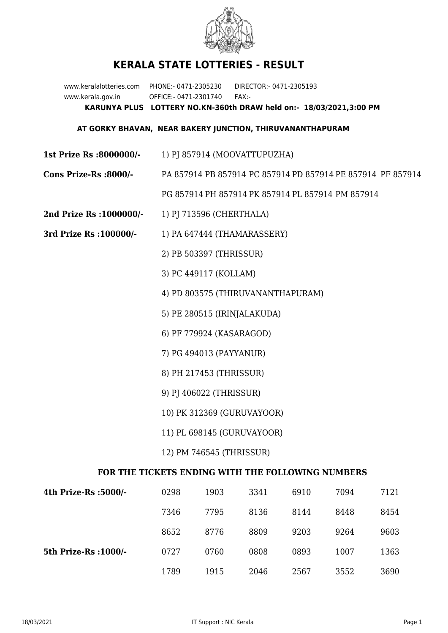

## **KERALA STATE LOTTERIES - RESULT**

www.keralalotteries.com PHONE:- 0471-2305230 DIRECTOR:- 0471-2305193 www.kerala.gov.in OFFICE:- 0471-2301740 FAX:- **KARUNYA PLUS LOTTERY NO.KN-360th DRAW held on:- 18/03/2021,3:00 PM**

## **AT GORKY BHAVAN, NEAR BAKERY JUNCTION, THIRUVANANTHAPURAM**

- **1st Prize Rs :8000000/-** 1) PJ 857914 (MOOVATTUPUZHA)
- **Cons Prize-Rs :8000/-** PA 857914 PB 857914 PC 857914 PD 857914 PE 857914 PF 857914 PG 857914 PH 857914 PK 857914 PL 857914 PM 857914
- **2nd Prize Rs :1000000/-** 1) PJ 713596 (CHERTHALA)
- **3rd Prize Rs :100000/-** 1) PA 647444 (THAMARASSERY)

2) PB 503397 (THRISSUR)

3) PC 449117 (KOLLAM)

4) PD 803575 (THIRUVANANTHAPURAM)

- 5) PE 280515 (IRINJALAKUDA)
- 6) PF 779924 (KASARAGOD)
- 7) PG 494013 (PAYYANUR)
- 8) PH 217453 (THRISSUR)
- 9) PJ 406022 (THRISSUR)
- 10) PK 312369 (GURUVAYOOR)
- 11) PL 698145 (GURUVAYOOR)
- 12) PM 746545 (THRISSUR)

## **FOR THE TICKETS ENDING WITH THE FOLLOWING NUMBERS**

| 4th Prize-Rs :5000/-  | 0298 | 1903 | 3341 | 6910 | 7094 | 7121 |
|-----------------------|------|------|------|------|------|------|
|                       | 7346 | 7795 | 8136 | 8144 | 8448 | 8454 |
|                       | 8652 | 8776 | 8809 | 9203 | 9264 | 9603 |
| 5th Prize-Rs : 1000/- | 0727 | 0760 | 0808 | 0893 | 1007 | 1363 |
|                       | 1789 | 1915 | 2046 | 2567 | 3552 | 3690 |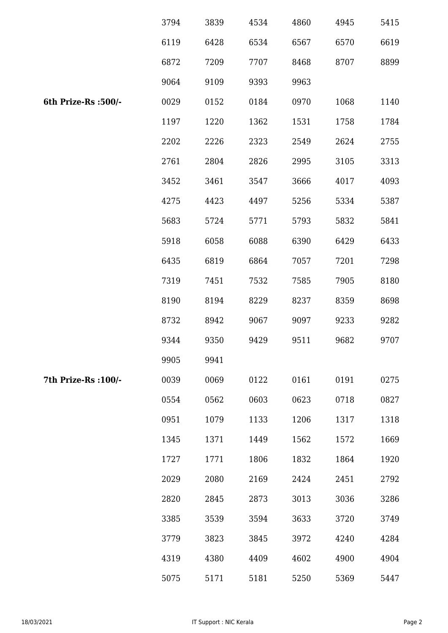|                      | 3794 | 3839 | 4534 | 4860 | 4945 | 5415 |
|----------------------|------|------|------|------|------|------|
|                      | 6119 | 6428 | 6534 | 6567 | 6570 | 6619 |
|                      | 6872 | 7209 | 7707 | 8468 | 8707 | 8899 |
|                      | 9064 | 9109 | 9393 | 9963 |      |      |
| 6th Prize-Rs : 500/- | 0029 | 0152 | 0184 | 0970 | 1068 | 1140 |
|                      | 1197 | 1220 | 1362 | 1531 | 1758 | 1784 |
|                      | 2202 | 2226 | 2323 | 2549 | 2624 | 2755 |
|                      | 2761 | 2804 | 2826 | 2995 | 3105 | 3313 |
|                      | 3452 | 3461 | 3547 | 3666 | 4017 | 4093 |
|                      | 4275 | 4423 | 4497 | 5256 | 5334 | 5387 |
|                      | 5683 | 5724 | 5771 | 5793 | 5832 | 5841 |
|                      | 5918 | 6058 | 6088 | 6390 | 6429 | 6433 |
|                      | 6435 | 6819 | 6864 | 7057 | 7201 | 7298 |
|                      | 7319 | 7451 | 7532 | 7585 | 7905 | 8180 |
|                      | 8190 | 8194 | 8229 | 8237 | 8359 | 8698 |
|                      | 8732 | 8942 | 9067 | 9097 | 9233 | 9282 |
|                      | 9344 | 9350 | 9429 | 9511 | 9682 | 9707 |
|                      | 9905 | 9941 |      |      |      |      |
| 7th Prize-Rs : 100/- | 0039 | 0069 | 0122 | 0161 | 0191 | 0275 |
|                      | 0554 | 0562 | 0603 | 0623 | 0718 | 0827 |
|                      | 0951 | 1079 | 1133 | 1206 | 1317 | 1318 |
|                      | 1345 | 1371 | 1449 | 1562 | 1572 | 1669 |
|                      | 1727 | 1771 | 1806 | 1832 | 1864 | 1920 |
|                      | 2029 | 2080 | 2169 | 2424 | 2451 | 2792 |
|                      | 2820 | 2845 | 2873 | 3013 | 3036 | 3286 |
|                      | 3385 | 3539 | 3594 | 3633 | 3720 | 3749 |
|                      | 3779 | 3823 | 3845 | 3972 | 4240 | 4284 |
|                      | 4319 | 4380 | 4409 | 4602 | 4900 | 4904 |
|                      | 5075 | 5171 | 5181 | 5250 | 5369 | 5447 |